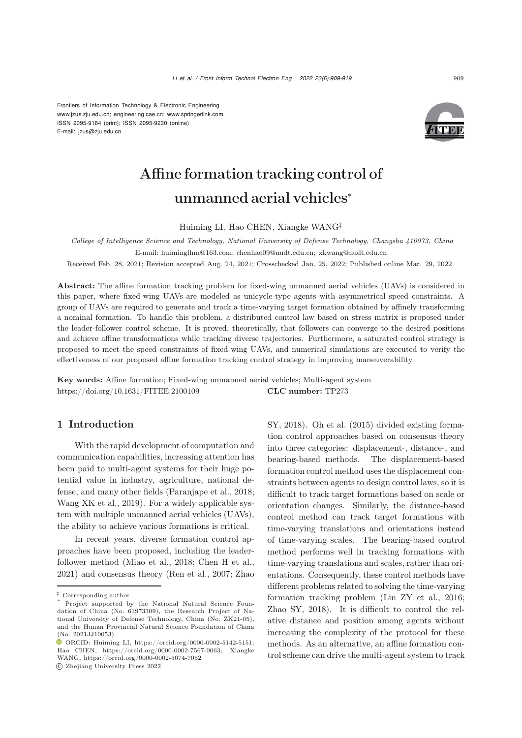Frontiers of Information Technology & Electronic Engineering [www.jzus.zju.edu.cn;](www.jzus.zju.edu.cn) [engineering.cae.cn;](engineering.cae.cn)<www.springerlink.com> ISSN 2095-9184 (print); ISSN 2095-9230 (online) E-mail: jzus@zju.edu.cn



# Affine formation tracking control of unmanned aerial vehicles<sup>∗</sup>

Huiming LI, Hao CHEN, Xiangke WANG‡

*College of Intelligence Science and Technology, National University of Defense Technology, Changsha 410073, China* E-mail: huiminglhm@163.com; chenhao09@nudt.edu.cn; xkwang@nudt.edu.cn

Received Feb. 28, 2021; Revision accepted Aug. 24, 2021; Crosschecked Jan. 25, 2022; Published online Mar. 29, 2022

Abstract: The affine formation tracking problem for fixed-wing unmanned aerial vehicles (UAVs) is considered in this paper, where fixed-wing UAVs are modeled as unicycle-type agents with asymmetrical speed constraints. A group of UAVs are required to generate and track a time-varying target formation obtained by affinely transforming a nominal formation. To handle this problem, a distributed control law based on stress matrix is proposed under the leader-follower control scheme. It is proved, theoretically, that followers can converge to the desired positions and achieve affine transformations while tracking diverse trajectories. Furthermore, a saturated control strategy is proposed to meet the speed constraints of fixed-wing UAVs, and numerical simulations are executed to verify the effectiveness of our proposed affine formation tracking control strategy in improving maneuverability.

Key words: Affine formation; Fixed-wing unmanned aerial vehicles; Multi-agent system https://doi.org/10.1631/FITEE.2100109 CLC number: TP273

# 1 Introduction

With the rapid development of computation and communication capabilities, increasing attention has been paid to multi-agent systems for their huge potential value in industry, agriculture, national defense, and many other fields [\(Paranjape et al.,](#page-10-0) [2018;](#page-10-5) [Wang XK et al.](#page-10-1), [2019](#page-10-1)). For a widely applicable system with multiple unmanned aerial vehicles (UAVs), the ability to achieve various formations is critical.

In recent years, diverse formation control approaches have been proposed, including the leaderfollower method [\(Miao et al., 2018;](#page-10-2) [Chen H et al.](#page-10-3), [2021](#page-10-3)) and consensus theory [\(Ren et al.](#page-10-4), [2007;](#page-10-4) Zhao

c Zhejiang University Press 2022

SY, [2018](#page-10-5)). [Oh et al.](#page-10-6) [\(2015](#page-10-6)) divided existing formation control approaches based on consensus theory into three categories: displacement-, distance-, and bearing-based methods. The displacement-based formation control method uses the displacement constraints between agents to design control laws, so it is difficult to track target formations based on scale or orientation changes. Similarly, the distance-based control method can track target formations with time-varying translations and orientations instead of time-varying scales. The bearing-based control method performs well in tracking formations with time-varying translations and scales, rather than orientations. Consequently, these control methods have different problems related to solving the time-varying formation tracking problem [\(Lin ZY et al., 2016;](#page-10-7) [Zhao SY](#page-10-5), [2018\)](#page-10-5). It is difficult to control the relative distance and position among agents without increasing the complexity of the protocol for these methods. As an alternative, an affine formation control scheme can drive the multi-agent system to track

*<sup>‡</sup>* Corresponding author

Project supported by the National Natural Science Foundation of China (No. 61973309), the Research Project of National University of Defense Technology, China (No. ZK21-05), and the Hunan Provincial Natural Science Foundation of China (No. 2021JJ10053)

ORCID: Huiming LI, https://orcid.org/0000-0002-5142-5151; Hao CHEN, https://orcid.org/0000-0002-7567-0063; Xiangke WANG, https://orcid.org/0000-0002-5074-7052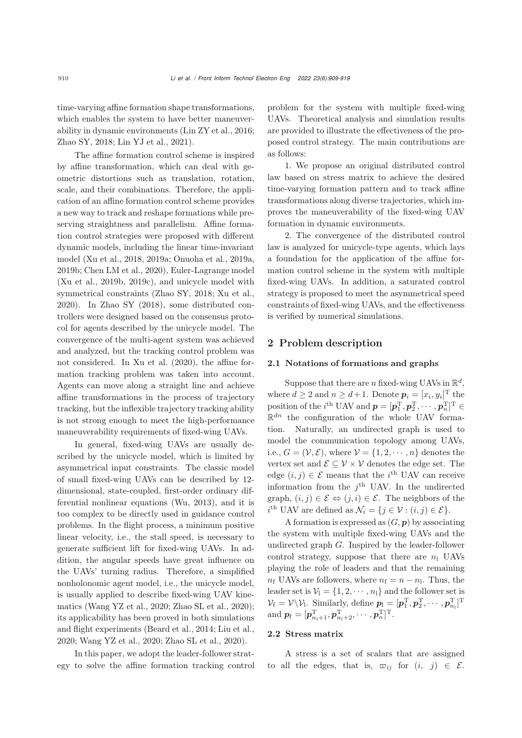time-varying affine formation shape transformations, which enables the system to have better maneuverability in dynamic environments [\(Lin ZY et al.](#page-10-7), [2016;](#page-10-7) [Zhao SY, 2018;](#page-10-5) [Lin YJ et al.](#page-10-8), [2021](#page-10-8)).

The affine formation control scheme is inspired by affine transformation, which can deal with geometric distortions such as translation, rotation, scale, and their combinations. Therefore, the application of an affine formation control scheme provides a new way to track and reshape formations while preserving straightness and parallelism. Affine formation control strategies were proposed with different dynamic models, including the linear time-invariant mode[l](#page-10-11) [\(Xu et al.](#page-10-9)[,](#page-10-11) [2018](#page-10-9)[,](#page-10-11) [2019a;](#page-10-10) [Onuoha et al.,](#page-10-11) 2019a, 2019b; [Chen LM et al.](#page-10-12), [2020\)](#page-10-12), Euler-Lagrange model [\(Xu et al.](#page-10-13), [2019b, 2019c\)](#page-10-13), and unicycle model with symmetrical constraints [\(Zhao SY](#page-10-5), [2018;](#page-10-5) [Xu et al.](#page-10-14), [2020](#page-10-14)). In [Zhao SY](#page-10-5) [\(2018\)](#page-10-5), some distributed controllers were designed based on the consensus protocol for agents described by the unicycle model. The convergence of the multi-agent system was achieved and analyzed, but the tracking control problem was not considered. In [Xu et al.](#page-10-14) [\(2020](#page-10-14)), the affine formation tracking problem was taken into account. Agents can move along a straight line and achieve affine transformations in the process of trajectory tracking, but the inflexible trajectory tracking ability is not strong enough to meet the high-performance maneuverability requirements of fixed-wing UAVs.

In general, fixed-wing UAVs are usually described by the unicycle model, which is limited by asymmetrical input constraints. The classic model of small fixed-wing UAVs can be described by 12 dimensional, state-coupled, first-order ordinary differential nonlinear equations [\(Wu](#page-10-15), [2013](#page-10-15)), and it is too complex to be directly used in guidance control problems. In the flight process, a minimum positive linear velocity, i.e., the stall speed, is necessary to generate sufficient lift for fixed-wing UAVs. In addition, the angular speeds have great influence on the UAVs' turning radius. Therefore, a simplified nonholonomic agent model, i.e., the unicycle model, is usually applied to describe fixed-wing UAV kinematics [\(Wang YZ et al.](#page-10-16), [2020;](#page-10-16) [Zhao SL et al.](#page-10-17), [2020\)](#page-10-17); its applicability has been proved in both simulations and flight experiments [\(Beard et al.](#page-10-18), [2014](#page-10-18); [Liu et al.](#page-10-19), [2020](#page-10-19); [Wang YZ et al.](#page-10-16), [2020;](#page-10-16) [Zhao SL et al., 2020\)](#page-10-17).

In this paper, we adopt the leader-follower strategy to solve the affine formation tracking control problem for the system with multiple fixed-wing UAVs. Theoretical analysis and simulation results are provided to illustrate the effectiveness of the proposed control strategy. The main contributions are as follows:

1. We propose an original distributed control law based on stress matrix to achieve the desired time-varying formation pattern and to track affine transformations along diverse trajectories, which improves the maneuverability of the fixed-wing UAV formation in dynamic environments.

2. The convergence of the distributed control law is analyzed for unicycle-type agents, which lays a foundation for the application of the affine formation control scheme in the system with multiple fixed-wing UAVs. In addition, a saturated control strategy is proposed to meet the asymmetrical speed constraints of fixed-wing UAVs, and the effectiveness is verified by numerical simulations.

## 2 Problem description

## 2.1 Notations of formations and graphs

Suppose that there are n fixed-wing UAVs in  $\mathbb{R}^d$ . where  $d \geq 2$  and  $n \geq d+1$ . Denote  $p_i = [x_i, y_i]^T$  the position of the  $i^{\text{th}}$  UAV and  $p = [\boldsymbol{p}_1^{\text{T}}, \boldsymbol{p}_2^{\text{T}}, \cdots, \boldsymbol{p}_n^{\text{T}}]^{\text{T}} \in$  $\mathbb{R}^{dn}$  the configuration of the whole UAV formation. Naturally, an undirected graph is used to model the communication topology among UAVs, i.e.,  $G = (\mathcal{V}, \mathcal{E})$ , where  $\mathcal{V} = \{1, 2, \cdots, n\}$  denotes the vertex set and  $\mathcal{E} \subseteq \mathcal{V} \times \mathcal{V}$  denotes the edge set. The edge  $(i, j) \in \mathcal{E}$  means that the *i*<sup>th</sup> UAV can receive information from the  $i<sup>th</sup>$  UAV. In the undirected graph,  $(i, j) \in \mathcal{E} \Leftrightarrow (j, i) \in \mathcal{E}$ . The neighbors of the  $i^{\text{th}}$  UAV are defined as  $\mathcal{N}_i = \{j \in \mathcal{V} : (i, j) \in \mathcal{E}\}.$ 

A formation is expressed as (G, *p*) by associating the system with multiple fixed-wing UAVs and the undirected graph G. Inspired by the leader-follower control strategy, suppose that there are  $n_1$  UAVs playing the role of leaders and that the remaining  $n_f$  UAVs are followers, where  $n_f = n - n_l$ . Thus, the leader set is  $V_1 = \{1, 2, \dots, n_1\}$  and the follower set is  $\mathcal{V}_f = \mathcal{V} \backslash \mathcal{V}_1$ . Similarly, define  $p_1 = [\boldsymbol{p}_1^T, \boldsymbol{p}_2^T, \cdots, \boldsymbol{p}_{n_1}^T]^T$  $\text{and } \boldsymbol{p}_\text{f} = [\boldsymbol{p}_{n_1+1}^\text{T}, \boldsymbol{p}_{n_1+2}^\text{T}, \cdots, \boldsymbol{p}_{n}^\text{T}]^\text{T}.$ 

## 2.2 Stress matrix

A stress is a set of scalars that are assigned to all the edges, that is,  $\overline{\omega}_{ij}$  for  $(i, j) \in \mathcal{E}$ .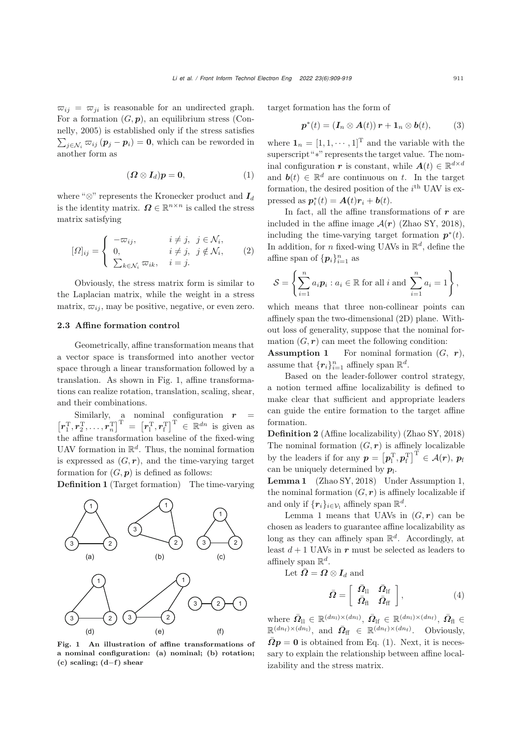$\overline{\omega}_{ij} = \overline{\omega}_{ji}$  is reasonable for an undirected graph. For a formation  $(G, p)$  $(G, p)$  $(G, p)$ , [an](#page-10-20) [equilibrium](#page-10-20) [stress](#page-10-20) [\(](#page-10-20)Connelly, [2005](#page-10-20)) is established only if the stress satisfies  $\sum_{j \in \mathcal{N}_i} \overline{\omega}_{ij} (\boldsymbol{p}_j - \boldsymbol{p}_i) = \mathbf{0}$ , which can be reworded in another form as

<span id="page-2-2"></span>
$$
(\boldsymbol{\Omega} \otimes \boldsymbol{I}_d)\boldsymbol{p} = \boldsymbol{0}, \qquad (1)
$$

where " $\otimes$ " represents the Kronecker product and  $I_d$ is the identity matrix.  $\mathbf{\Omega} \in \mathbb{R}^{n \times n}$  is called the stress matrix satisfying

$$
[\Omega]_{ij} = \begin{cases} -\varpi_{ij}, & i \neq j, \ j \in \mathcal{N}_i, \\ 0, & i \neq j, \ j \notin \mathcal{N}_i, \\ \sum_{k \in \mathcal{N}_i} \varpi_{ik}, & i = j. \end{cases}
$$
 (2)

Obviously, the stress matrix form is similar to the Laplacian matrix, while the weight in a stress matrix,  $\varpi_{ij}$ , may be positive, negative, or even zero.

## 2.3 Affine formation control

Geometrically, affine transformation means that a vector space is transformed into another vector space through a linear transformation followed by a translation. As shown in Fig. [1,](#page-2-0) affine transformations can realize rotation, translation, scaling, shear, and their combinations.

Similarly, a nominal configuration  $r =$  $\left[r_1^{\mathrm{T}}, r_2^{\mathrm{T}}, \ldots, r_n^{\mathrm{T}}\right]^{\mathrm{T}} = \left[r_1^{\mathrm{T}}, r_f^{\mathrm{T}}\right]^{\mathrm{T}} \in \mathbb{R}^{dn}$  is given as the affine transformation baseline of the fixed-wing UAV formation in  $\mathbb{R}^d$ . Thus, the nominal formation is expressed as  $(G, r)$ , and the time-varying target formation for  $(G, p)$  is defined as follows:

Definition 1 (Target formation) The time-varying



<span id="page-2-0"></span>Fig. 1 An illustration of affine transformations of a nominal configuration: (a) nominal; (b) rotation;  $(c)$  scaling;  $(d-f)$  shear

target formation has the form of

<span id="page-2-3"></span>
$$
\boldsymbol{p}^*(t) = (\boldsymbol{I}_n \otimes \boldsymbol{A}(t)) \,\boldsymbol{r} + \boldsymbol{1}_n \otimes \boldsymbol{b}(t), \tag{3}
$$

where  $\mathbf{1}_n = [1, 1, \dots, 1]^T$  and the variable with the superscript "∗" represents the target value. The nominal configuration *r* is constant, while  $A(t) \in \mathbb{R}^{d \times d}$ and  $\mathbf{b}(t) \in \mathbb{R}^d$  are continuous on t. In the target formation, the desired position of the  $i^{\text{th}}$  UAV is expressed as  $p_i^*(t) = A(t)r_i + b(t)$ .

In fact, all the affine transformations of *r* are included in the affine image  $\mathcal{A}(r)$  [\(Zhao SY](#page-10-5), [2018\)](#page-10-5), including the time-varying target formation  $p^*(t)$ . In addition, for *n* fixed-wing UAVs in  $\mathbb{R}^d$ , define the affine span of  $\{p_i\}_{i=1}^n$  as

$$
\mathcal{S} = \left\{ \sum_{i=1}^{n} a_i \mathbf{p}_i : a_i \in \mathbb{R} \text{ for all } i \text{ and } \sum_{i=1}^{n} a_i = 1 \right\},\
$$

which means that three non-collinear points can affinely span the two-dimensional (2D) plane. Without loss of generality, suppose that the nominal formation  $(G, r)$  can meet the following condition:

**Assumption 1** For nominal formation  $(G, r)$ , assume that  $\{r_i\}_{i=1}^n$  affinely span  $\mathbb{R}^d$ .

Based on the leader-follower control strategy, a notion termed affine localizability is defined to make clear that sufficient and appropriate leaders can guide the entire formation to the target affine formation.

Definition 2 (Affine localizability) [\(Zhao SY, 2018](#page-10-5)) The nominal formation  $(G, r)$  is affinely localizable by the leaders if for any  $p = \left[p_1^{\mathrm{T}}, p_{\mathrm{f}}^{\mathrm{T}}\right]^{\mathrm{T}} \in \mathcal{A}(r), p_{\mathrm{f}}$ can be uniquely determined by  $p_1$ .

<span id="page-2-1"></span>Lemma 1 [\(Zhao SY, 2018\)](#page-10-5) Under Assumption 1, the nominal formation  $(G, r)$  is affinely localizable if and only if  $\{r_i\}_{i\in\mathcal{V}}$  affinely span  $\mathbb{R}^d$ .

Lemma [1](#page-2-1) means that UAVs in  $(G, r)$  can be chosen as leaders to guarantee affine localizability as long as they can affinely span  $\mathbb{R}^d$ . Accordingly, at least  $d + 1$  UAVs in  $r$  must be selected as leaders to affinely span  $\mathbb{R}^d$ .

Let  $\bar{\Omega} = \Omega \otimes I_d$  and

$$
\bar{\boldsymbol{\Omega}} = \left[ \begin{array}{cc} \bar{\boldsymbol{\Omega}}_{\rm ll} & \bar{\boldsymbol{\Omega}}_{\rm lf} \\ \bar{\boldsymbol{\Omega}}_{\rm fl} & \bar{\boldsymbol{\Omega}}_{\rm ff} \end{array} \right],\tag{4}
$$

where  $\bar{\mathbf{\Omega}}_{\text{ll}} \in \mathbb{R}^{(dn_1)\times (dn_1)}$ ,  $\bar{\mathbf{\Omega}}_{\text{lf}} \in \mathbb{R}^{(dn_1)\times (dn_f)}$ ,  $\bar{\mathbf{\Omega}}_{\text{fl}} \in$  $\mathbb{R}^{(dn_{\rm f}) \times (dn_{\rm l})}$ , and  $\bar{\mathbf{\Omega}}_{\rm ff} \in \mathbb{R}^{(dn_{\rm f}) \times (dn_{\rm f})}$ . Obviously,  $\overline{\Omega}p = 0$  is obtained from Eq. [\(1\)](#page-2-2). Next, it is necessary to explain the relationship between affine localizability and the stress matrix.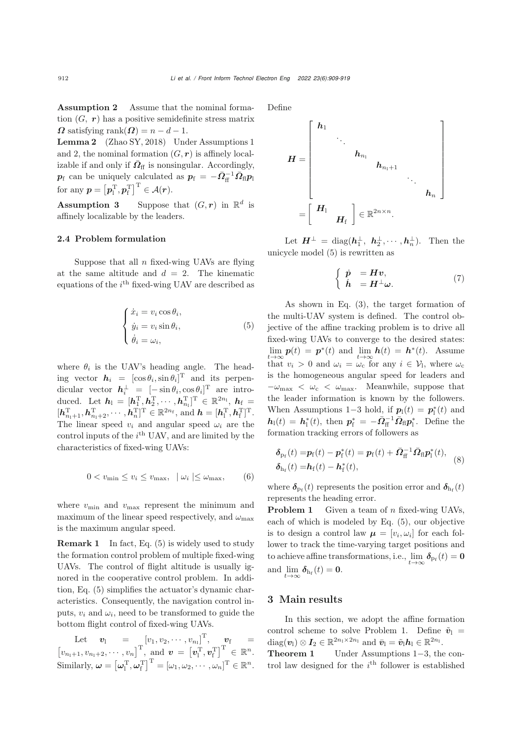Assumption 2 Assume that the nominal formation  $(G, r)$  has a positive semidefinite stress matrix  $\Omega$  satisfying rank $(\Omega) = n - d - 1$ .

<span id="page-3-1"></span>Lemma 2 [\(Zhao SY, 2018\)](#page-10-5) Under Assumptions 1 and 2, the nominal formation  $(G, r)$  is affinely localizable if and only if  $\overline{\Omega}_{\text{ff}}$  is nonsingular. Accordingly,  $p_f$  can be uniquely calculated as  $p_f = -\bar{Q}_{\rm ff}^{-1} \bar{Q}_{\rm ff} p_{\rm ff}$ for any  $p = \left[p_1^{\mathrm{T}}, p_{\mathrm{f}}^{\mathrm{T}}\right]^{\mathrm{T}} \in \mathcal{A}(r)$ .

**Assumption 3** Suppose that  $(G, r)$  in  $\mathbb{R}^d$  is affinely localizable by the leaders.

## 2.4 Problem formulation

Suppose that all  $n$  fixed-wing UAVs are flying at the same altitude and  $d = 2$ . The kinematic equations of the  $i<sup>th</sup>$  fixed-wing UAV are described as

<span id="page-3-0"></span>
$$
\begin{cases} \n\dot{x}_i = v_i \cos \theta_i, \\ \n\dot{y}_i = v_i \sin \theta_i, \\ \n\dot{\theta}_i = \omega_i, \n\end{cases} \n\tag{5}
$$

where  $\theta_i$  is the UAV's heading angle. The heading vector  $h_i = [\cos \theta_i, \sin \theta_i]^{\text{T}}$  and its perpendicular vector  $h_i^{\perp} = [-\sin \theta_i, \cos \theta_i]^{\text{T}}$  are introduced. Let  $h_1 = [h_1^{\mathrm{T}}, h_2^{\mathrm{T}}, \cdots, h_{n_1}^{\mathrm{T}}]^{\mathrm{T}} \in \mathbb{R}^{2n_1}, h_f =$  $[h_{n_1+1}^{\mathrm{T}}, h_{n_1+2}^{\mathrm{T}}, \cdots, h_n^{\mathrm{T}}]^{\mathrm{T}} \in \mathbb{R}^{2n_{\mathrm{f}}}, \text{ and } h = [h_{\mathrm{I}}^{\mathrm{T}}, h_{\mathrm{f}}^{\mathrm{T}}]^{\mathrm{T}}.$ The linear speed  $v_i$  and angular speed  $\omega_i$  are the control inputs of the  $i^{\text{th}}$  UAV, and are limited by the characteristics of fixed-wing UAVs:

<span id="page-3-3"></span>
$$
0 < v_{\min} \le v_i \le v_{\max}, \quad | \omega_i | \le \omega_{\max}, \tag{6}
$$

where  $v_{\text{min}}$  and  $v_{\text{max}}$  represent the minimum and maximum of the linear speed respectively, and  $\omega_{\text{max}}$ is the maximum angular speed.

**Remark 1** In fact, Eq. [\(5\)](#page-3-0) is widely used to study the formation control problem of multiple fixed-wing UAVs. The control of flight altitude is usually ignored in the cooperative control problem. In addition, Eq. [\(5\)](#page-3-0) simplifies the actuator's dynamic characteristics. Consequently, the navigation control inputs,  $v_i$  and  $\omega_i$ , need to be transformed to guide the bottom flight control of fixed-wing UAVs.

 $\quad \mathbf{Let} \quad \mathbf{v}_\mathrm{l} \quad = \quad \left[v_1, v_2, \cdots, v_{n_\mathrm{l}}\right]^\mathrm{T}, \quad \mathbf{v}_\mathrm{f} \quad =$  $[v_{n_1+1}, v_{n_1+2}, \cdots, v_n]^{\mathrm{T}}$ , and  $v = [v_1^{\mathrm{T}}, v_1^{\mathrm{T}}]^{\mathrm{T}} \in \mathbb{R}^n$ . Similarly,  $\boldsymbol{\omega} = [\boldsymbol{\omega}_1^{\mathrm{T}}, \boldsymbol{\omega}_f^{\mathrm{T}}]^{\mathrm{T}} = [\omega_1, \omega_2, \cdots, \omega_n]^{\mathrm{T}} \in \mathbb{R}^n$ . Define

$$
H = \begin{bmatrix} h_1 & & & & & \\ & \ddots & & & & \\ & & h_{n_1} & & & \\ & & & h_{n_1+1} & & \\ & & & & \ddots & \\ & & & & & h_n \end{bmatrix}
$$

$$
= \begin{bmatrix} H_1 & & & \\ & H_f \end{bmatrix} \in \mathbb{R}^{2n \times n}.
$$

Let  $\boldsymbol{H}^{\perp} = \text{diag}(\boldsymbol{h}_1^{\perp}, \ \boldsymbol{h}_2^{\perp}, \cdots, \boldsymbol{h}_n^{\perp}).$  Then the unicycle model [\(5\)](#page-3-0) is rewritten as

$$
\left\{\begin{array}{ll}\dot{p} &= Hv, \\ \dot{h} &= H^{\perp}\omega.\end{array}\right.
$$
\n(7)

As shown in Eq. [\(3\)](#page-2-3), the target formation of the multi-UAV system is defined. The control objective of the affine tracking problem is to drive all fixed-wing UAVs to converge to the desired states:  $\lim_{t\to\infty}$   $p(t) = p^*(t)$  and  $\lim_{t\to\infty} h(t) = h^*(t)$ . Assume that  $v_i > 0$  and  $\omega_i = \omega_c$  for any  $i \in \mathcal{V}_1$ , where  $\omega_c$ is the homogeneous angular speed for leaders and  $-\omega_{\text{max}} < \omega_{\text{c}} < \omega_{\text{max}}$ . Meanwhile, suppose that the leader information is known by the followers. When Assumptions 1–3 hold, if  $p_1(t) = p_1^*(t)$  and  $h_1(t) = h_1^*(t)$ , then  $p_f^* = -\bar{Q}_{\text{ff}}^{-1} \bar{Q}_{\text{fl}} p_l^*$ . Define the formation tracking errors of followers as

<span id="page-3-2"></span>
$$
\delta_{\mathrm{p}_{\mathrm{f}}}(t) = p_{\mathrm{f}}(t) - p_{\mathrm{f}}^{*}(t) = p_{\mathrm{f}}(t) + \bar{\Omega}_{\mathrm{f}}^{-1} \bar{\Omega}_{\mathrm{f}} p_{\mathrm{1}}^{*}(t),
$$
\n
$$
\delta_{\mathrm{h}_{\mathrm{f}}}(t) = h_{\mathrm{f}}(t) - h_{\mathrm{f}}^{*}(t),
$$
\n(8)

where  $\delta_{p_f}(t)$  represents the position error and  $\delta_{h_f}(t)$ represents the heading error.

**Problem 1** Given a team of  $n$  fixed-wing UAVs, each of which is modeled by Eq. [\(5\)](#page-3-0), our objective is to design a control law  $\mu = [v_i, \omega_i]$  for each follower to track the time-varying target positions and to achieve affine transformations, i.e.,  $\lim_{t\to\infty} \delta_{p_f}(t) = \mathbf{0}$ and  $\lim_{h_f} \delta_{h_f}(t) = 0$ .

## 3 Main results

In this section, we adopt the affine formation control scheme to solve Problem 1. Define  $\tilde{v}_1$  = diag( $v_1$ ) ⊗  $I_2 \in \mathbb{R}^{2n_1 \times 2n_1}$  and  $\bar{v}_1 = \tilde{v}_1 h_1 \in \mathbb{R}^{2n_1}$ .

Theorem 1 Under Assumptions 1−3, the control law designed for the  $i^{\text{th}}$  follower is established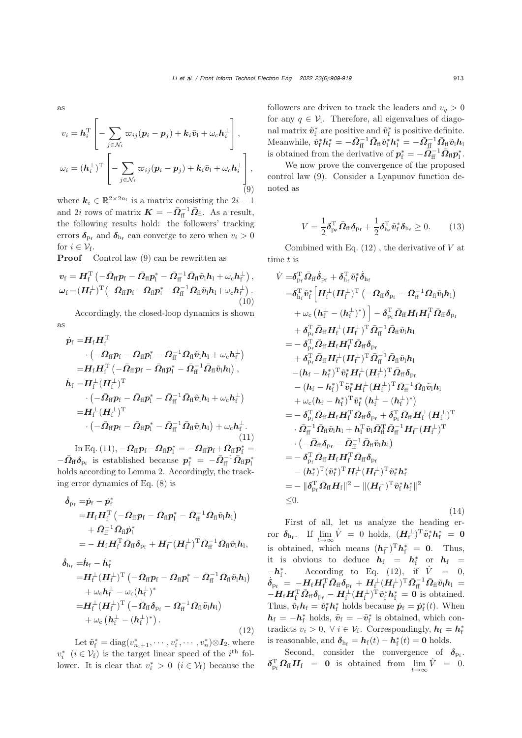as

<span id="page-4-0"></span>
$$
v_i = \mathbf{h}_i^{\mathrm{T}} \left[ -\sum_{j \in \mathcal{N}_i} \varpi_{ij} (\mathbf{p}_i - \mathbf{p}_j) + \mathbf{k}_i \bar{\mathbf{v}}_1 + \omega_c \mathbf{h}_i^{\perp} \right],
$$
  

$$
\omega_i = (\mathbf{h}_i^{\perp})^{\mathrm{T}} \left[ -\sum_{j \in \mathcal{N}_i} \varpi_{ij} (\mathbf{p}_i - \mathbf{p}_j) + \mathbf{k}_i \bar{\mathbf{v}}_1 + \omega_c \mathbf{h}_i^{\perp} \right],
$$
  
(9)

where  $k_i \in \mathbb{R}^{2 \times 2n_1}$  is a matrix consisting the  $2i - 1$ and 2*i* rows of matrix  $\mathbf{K} = -\bar{\mathbf{\Omega}}_{\text{ff}}^{-1} \bar{\mathbf{\Omega}}_{\text{fl}}$ . As a result, the following results hold: the followers' tracking errors  $\delta_{\text{p}_{\text{f}}}$  and  $\delta_{\text{h}_{\text{f}}}$  can converge to zero when  $v_i > 0$ for  $i \in \mathcal{V}_{f}$ .

Proof Control law [\(9\)](#page-4-0) can be rewritten as

$$
\boldsymbol{v}_{\rm f} = \boldsymbol{H}_{\rm f}^{\rm T} \left( -\bar{\boldsymbol{\Omega}}_{\rm ff} \boldsymbol{p}_{\rm f} - \bar{\boldsymbol{\Omega}}_{\rm fl} \boldsymbol{p}_{\rm l}^* - \bar{\boldsymbol{\Omega}}_{\rm ff}^{-1} \bar{\boldsymbol{\Omega}}_{\rm fl} \tilde{\boldsymbol{v}}_{\rm l} \boldsymbol{h}_{\rm l} + \omega_{\rm c} \boldsymbol{h}_{\rm f}^{\perp} \right),
$$

$$
\boldsymbol{\omega}_{\rm f} = (\boldsymbol{H}_{\rm f}^{\perp})^{\rm T} \left( -\bar{\boldsymbol{\Omega}}_{\rm ff} \boldsymbol{p}_{\rm f} - \bar{\boldsymbol{\Omega}}_{\rm ff} \boldsymbol{p}_{\rm l}^* - \bar{\boldsymbol{\Omega}}_{\rm ff}^{-1} \bar{\boldsymbol{\Omega}}_{\rm fl} \tilde{\boldsymbol{v}}_{\rm l} \boldsymbol{h}_{\rm l} + \omega_{\rm c} \boldsymbol{h}_{\rm f}^{\perp} \right). \tag{10}
$$

Accordingly, the closed-loop dynamics is shown as

<span id="page-4-1"></span>
$$
\dot{p}_{\rm f} = H_{\rm f} H_{\rm f}^{\rm T} \n\cdot \left( -\bar{\Omega}_{\rm ff} p_{\rm f} - \bar{\Omega}_{\rm ff} p_{\rm i}^* - \bar{\Omega}_{\rm ff}^{-1} \bar{\Omega}_{\rm ff} \tilde{v}_{\rm i} h_{\rm i} + \omega_{\rm c} h_{\rm f}^{\perp} \right) \n= H_{\rm f} H_{\rm f}^{\rm T} \left( -\bar{\Omega}_{\rm ff} p_{\rm f} - \bar{\Omega}_{\rm ff} p_{\rm i}^* - \bar{\Omega}_{\rm ff}^{-1} \bar{\Omega}_{\rm ff} \tilde{v}_{\rm i} h_{\rm i} \right), \n\dot{h}_{\rm f} = H_{\rm f}^{\perp} (H_{\rm f}^{\perp})^{\rm T} \n\cdot \left( -\bar{\Omega}_{\rm ff} p_{\rm f} - \bar{\Omega}_{\rm ff} p_{\rm i}^* - \bar{\Omega}_{\rm ff}^{-1} \bar{\Omega}_{\rm ff} \tilde{v}_{\rm i} h_{\rm i} + \omega_{\rm c} h_{\rm f}^{\perp} \right) \n= H_{\rm f}^{\perp} (H_{\rm f}^{\perp})^{\rm T} \n\cdot \left( -\bar{\Omega}_{\rm ff} p_{\rm f} - \bar{\Omega}_{\rm ff} p_{\rm i}^* - \bar{\Omega}_{\rm ff}^{-1} \bar{\Omega}_{\rm ff} \tilde{v}_{\rm i} h_{\rm i} \right) + \omega_{\rm c} h_{\rm f}^{\perp}.
$$
\n(11)

 $\ln$  Eq. [\(11\)](#page-4-1),  $-\bar{\Omega}_{\rm ff}p_{\rm f} - \bar{\Omega}_{\rm ff}p_{\rm i}^* = -\bar{\Omega}_{\rm ff}p_{\rm f} + \bar{\Omega}_{\rm ff}p_{\rm f}^* =$  $-\bar{\Omega}_{\text{ff}}\delta_{\text{p}_{\text{f}}}$  is established because  $p_{\text{f}}^* = -\bar{\Omega}_{\text{ff}}^{-1}\bar{\Omega}_{\text{fl}}p_{\text{l}}^*$ holds according to Lemma [2.](#page-3-1) Accordingly, the tracking error dynamics of Eq. [\(8\)](#page-3-2) is

<span id="page-4-2"></span>
$$
\begin{aligned} \dot{\delta}_{\mathrm{p}_{\mathrm{f}}}=&\dot{p}_{\mathrm{f}}-\dot{p}_{\mathrm{f}}^{*} \\ =&H_{\mathrm{f}}H_{\mathrm{f}}^{\mathrm{T}}\left(-\bar{\varOmega}_{\mathrm{ff}}p_{\mathrm{f}}-\bar{\varOmega}_{\mathrm{fl}}p_{\mathrm{l}}^{*}-\bar{\varOmega}_{\mathrm{f}\mathrm{f}}^{-1}\bar{\varOmega}_{\mathrm{fl}}\tilde{v}_{\mathrm{l}}h_{\mathrm{l}}\right) \\ &+\bar{\varOmega}_{\mathrm{f}\mathrm{f}}^{-1}\bar{\varOmega}_{\mathrm{fl}}\dot{p}_{\mathrm{l}}^{*} \\ =&-H_{\mathrm{f}}H_{\mathrm{f}}^{\mathrm{T}}\bar{\varOmega}_{\mathrm{ff}}\delta_{\mathrm{p}_{\mathrm{f}}}+H_{\mathrm{f}}^{\perp}(H_{\mathrm{f}}^{\perp})^{\mathrm{T}}\bar{\varOmega}_{\mathrm{f}\mathrm{f}}^{-1}\bar{\varOmega}_{\mathrm{fl}}\tilde{v}_{\mathrm{l}}h_{\mathrm{l}}, \end{aligned}
$$

$$
\dot{\delta}_{\mathrm{h}_{\mathrm{f}}} = \dot{\boldsymbol{h}}_{\mathrm{f}} - \dot{\boldsymbol{h}}_{\mathrm{f}}^{*} \n= \boldsymbol{H}_{\mathrm{f}}^{\perp} (\boldsymbol{H}_{\mathrm{f}}^{\perp})^{\mathrm{T}} \left( -\bar{\boldsymbol{\Omega}}_{\mathrm{f}\mathrm{f}} \boldsymbol{p}_{\mathrm{f}} - \bar{\boldsymbol{\Omega}}_{\mathrm{f}\mathrm{f}} \boldsymbol{p}_{\mathrm{f}}^{*} - \bar{\boldsymbol{\Omega}}_{\mathrm{f}\mathrm{f}}^{-1} \bar{\boldsymbol{\Omega}}_{\mathrm{f}\mathrm{f}} \tilde{\boldsymbol{v}}_{\mathrm{f}} \boldsymbol{h}_{\mathrm{I}} \right) \n+ \omega_{\mathrm{c}} \boldsymbol{h}_{\mathrm{f}}^{\perp} - \omega_{\mathrm{c}} (\boldsymbol{h}_{\mathrm{f}}^{\perp})^{*} \n= \boldsymbol{H}_{\mathrm{f}}^{\perp} (\boldsymbol{H}_{\mathrm{f}}^{\perp})^{\mathrm{T}} \left( -\bar{\boldsymbol{\Omega}}_{\mathrm{f}\mathrm{f}} \boldsymbol{\delta}_{\mathrm{p}_{\mathrm{f}}} - \bar{\boldsymbol{\Omega}}_{\mathrm{f}\mathrm{f}}^{-1} \bar{\boldsymbol{\Omega}}_{\mathrm{f}\mathrm{f}} \tilde{\boldsymbol{v}}_{\mathrm{f}} \boldsymbol{h}_{\mathrm{I}} \right) \n+ \omega_{\mathrm{c}} (\boldsymbol{h}_{\mathrm{f}}^{\perp} - (\boldsymbol{h}_{\mathrm{f}}^{\perp})^{*}). \tag{12}
$$

Let  $\tilde{\boldsymbol{v}}_f^* = \text{diag}(v_{n_1+1}^*, \cdots, v_i^*, \cdots, v_n^*) \otimes \boldsymbol{I}_2$ , where  $v_i^*$  ( $i \in \mathcal{V}_f$ ) is the target linear speed of the  $i^{\text{th}}$  follower. It is clear that  $v_i^* > 0$   $(i \in V_f)$  because the followers are driven to track the leaders and  $v_q > 0$ for any  $q \in V_1$ . Therefore, all eigenvalues of diagonal matrix  $\tilde{v}^*_{\text{f}}$  are positive and  $\tilde{v}^*_{\text{f}}$  is positive definite.  $\text{Meanwhile, } \tilde{\bm{v}}_\mathrm{f}^*\bm{h}_\mathrm{f}^* = -\bar{\bm{\varOmega}}_\mathrm{ff}^{-1}\bar{\bm{\varOmega}}_\mathrm{fl}\tilde{\bm{v}}_\mathrm{i}^*\bm{h}_\mathrm{l}^* = -\bar{\bm{\varOmega}}_\mathrm{ff}^{-1}\bar{\bm{\varOmega}}_\mathrm{fl}\tilde{\bm{v}}_\mathrm{l}\bm{h}_\mathrm{l}$ is obtained from the derivative of  $p_f^* = -\bar{Q}_f^{-1} \bar{Q}_f p_f^*$ .

We now prove the convergence of the proposed control law [\(9\)](#page-4-0). Consider a Lyapunov function denoted as

$$
V = \frac{1}{2} \delta_{\mathrm{p}_{\mathrm{f}}}^{\mathrm{T}} \bar{\mathbf{\Omega}}_{\mathrm{ff}} \delta_{\mathrm{p}_{\mathrm{f}}} + \frac{1}{2} \delta_{\mathrm{h}_{\mathrm{f}}}^{\mathrm{T}} \tilde{\mathbf{v}}_{\mathrm{f}}^* \delta_{\mathrm{h}_{\mathrm{f}}} \ge 0. \qquad (13)
$$

Combined with Eq.  $(12)$ , the derivative of V at time t is

$$
\dot{V} = \delta_{\text{pr}}^{\text{T}} \bar{\Omega}_{\text{ff}} \dot{\delta}_{\text{pr}} + \delta_{\text{lr}}^{\text{T}} \tilde{v}_{\text{f}}^{*} \dot{\delta}_{\text{h}_{\text{f}}}
$$
\n
$$
= \delta_{\text{lr}}^{\text{T}} \tilde{v}_{\text{f}}^{*} \left[ H_{\text{f}}^{\perp} (H_{\text{f}}^{\perp})^{\text{T}} \left( -\bar{\Omega}_{\text{ff}} \delta_{\text{pr}} - \bar{\Omega}_{\text{ff}}^{-1} \bar{\Omega}_{\text{fl}} \tilde{v}_{\text{l}} h_{\text{l}} \right) \right. \\ + \omega_{\text{c}} \left( h_{\text{f}}^{\perp} - (h_{\text{f}}^{\perp})^{*} \right) \left[ -\delta_{\text{pr}}^{\text{T}} \bar{\Omega}_{\text{ff}} H_{\text{f}} H_{\text{f}}^{\text{T}} \bar{\Omega}_{\text{ff}} \delta_{\text{pr}} \right. \\ + \delta_{\text{pr}}^{\text{T}} \bar{\Omega}_{\text{ff}} H_{\text{f}}^{\perp} (H_{\text{f}}^{\perp})^{\text{T}} \bar{\Omega}_{\text{f}}^{-1} \bar{\Omega}_{\text{fl}} \tilde{v}_{\text{l}} h_{\text{l}}
$$
\n
$$
= -\delta_{\text{pr}}^{\text{T}} \bar{\Omega}_{\text{ff}} H_{\text{f}} H_{\text{f}}^{\text{T}} \bar{\Omega}_{\text{ff}} \delta_{\text{pr}}
$$
\n
$$
+ \delta_{\text{pr}}^{\text{T}} \bar{\Omega}_{\text{ff}} H_{\text{f}}^{\perp} (H_{\text{f}}^{\perp})^{\text{T}} \bar{\Omega}_{\text{f}}^{-1} \bar{\Omega}_{\text{f}} \tilde{v}_{\text{l}} h_{\text{l}}
$$
\n
$$
- (h_{\text{f}} - h_{\text{f}}^{*})^{\text{T}} \tilde{v}_{\text{f}}^{*} H_{\text{f}}^{\perp} (H_{\text{f}}^{\perp})^{\text{T}} \bar{\Omega}_{\text{f}}^{-1} \bar{\Omega}_{\text{f}} \tilde{v}_{\text{l}} h_{\text{l}}
$$
\n
$$
+ \omega_{\text{c}} (h_{\text{f}} - h_{\text{f}}^{*})^{\text{T
$$

First of all, let us analyze the heading er- $\text{for } \delta_{\text{h}_{\text{f}}}$ . If  $\lim_{t \to \infty} \dot{V} = 0$  holds,  $(H_{\text{f}}^{\perp})^{\text{T}} \tilde{v}_{\text{f}}^* h_{\text{f}}^* = 0$ is obtained, which means  $(h_f^{\perp})^{\mathrm{T}} h_f^* = 0$ . Thus, it is obvious to deduce  $h_f = h_f^*$  or  $h_f =$  $-\mathbf{h}_{\mathrm{f}}^*$ . According to Eq. [\(12\)](#page-4-2), if  $\dot{V} = 0$ ,  $\dot{\delta}_{\rm{p}_{\rm{f}}} \; = \; - H_{\rm{f}} H_{\rm{f}}^{\rm{T}} \bar{\mathcal{Q}}_{\rm{ff}} \delta_{\rm{p}_{\rm{f}}} + H_{\rm{f}}^{\perp} (H_{\rm{f}}^{\perp})^{\rm{T}} \bar{\mathcal{Q}}_{\rm{ff}}^{-1} \bar{\mathcal{Q}}_{\rm{fl}} \tilde{v}_{\rm{l}} h_{\rm{l}} \; = \;$  $-H_f H_f^T \bar{M}_{ff} \delta_{\text{p}_f} - H_f^{\perp} (H_f^{\perp})^T \tilde{v}_f^* h_f^* = 0$  is obtained. Thus,  $\tilde{\mathbf{v}}_f \mathbf{h}_f = \tilde{\mathbf{v}}_f^* \mathbf{h}_f^*$  holds because  $\dot{\mathbf{p}}_f = \dot{\mathbf{p}}_f^*(t)$ . When  $h_f = -h_f^*$  holds,  $\tilde{v}_f = -\tilde{v}_f^*$  is obtained, which contradicts  $v_i > 0$ ,  $\forall i \in \mathcal{V}_f$ . Correspondingly,  $h_f = h_f^*$ is reasonable, and  $\delta_{h_f} = h_f(t) - h_f^*(t) = 0$  holds.

Second, consider the convergence of  $\delta_{\mathrm{p}_{\mathrm{f}}}$ .  $\delta_{\text{Pf}}^{\text{T}} \bar{\Omega}_{\text{ff}} H_{\text{f}} = 0$  is obtained from  $\lim_{t \to \infty} \dot{V} = 0$ .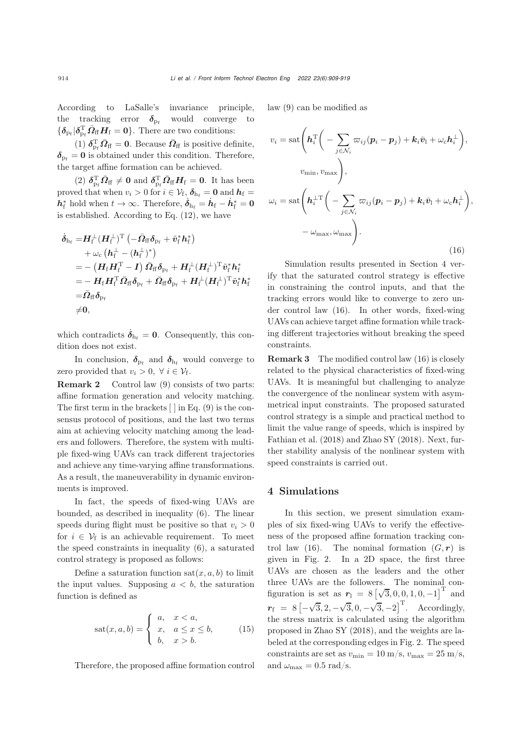According to LaSalle's invariance principle, the tracking error  $\delta_{\rm pf}$  would converge to  ${\{\delta_{p_f}|\delta_{p_f}^T\bar{\varOmega}_{ff}H_f=0\}}$ . There are two conditions:

(1)  $\delta_{\text{Pf}}^{\text{T}} \bar{\mathbf{\Omega}}_{\text{ff}} = 0$ . Because  $\bar{\mathbf{\Omega}}_{\text{ff}}$  is positive definite,  $\delta_{\text{p}_{\text{f}}} = 0$  is obtained under this condition. Therefore, the target affine formation can be achieved.

(2)  $\delta_{\rm p_f}^{\rm T} \bar{\mathbf{\Omega}}_{\rm ff} \neq 0$  and  $\delta_{\rm p_f}^{\rm T} \bar{\mathbf{\Omega}}_{\rm ff} \mathbf{H}_{\rm f} = 0$ . It has been proved that when  $v_i > 0$  for  $i \in \mathcal{V}_f$ ,  $\delta_{h_f} = 0$  and  $h_f =$  $h_{\rm f}^*$  hold when  $t \to \infty$ . Therefore,  $\dot{\delta}_{\rm h_f} = \dot{h}_{\rm f} - \dot{h}_{\rm f}^* = 0$ is established. According to Eq. [\(12\)](#page-4-2), we have

$$
\begin{aligned} \dot{\boldsymbol{\delta}}_{\mathrm{h_{f}}}=&\boldsymbol{H}_{\mathrm{f}}^{\perp}(\boldsymbol{H}_{\mathrm{f}}^{\perp})^{\mathrm{T}}\left(-\bar{\boldsymbol{\Omega}}_{\mathrm{ff}}\boldsymbol{\delta}_{\mathrm{p_{f}}}+\tilde{\boldsymbol{v}}_{\mathrm{f}}^{*}\boldsymbol{h}_{\mathrm{f}}^{*}\right)\\ &+\omega_{\mathrm{c}}\left(\boldsymbol{h}_{\mathrm{f}}^{\perp}-(\boldsymbol{h}_{\mathrm{f}}^{\perp})^{*}\right)\\ =&-\left(\boldsymbol{H}_{\mathrm{f}}\boldsymbol{H}_{\mathrm{f}}^{\mathrm{T}}-\boldsymbol{I}\right)\bar{\boldsymbol{\Omega}}_{\mathrm{ff}}\boldsymbol{\delta}_{\mathrm{p_{f}}}+\boldsymbol{H}_{\mathrm{f}}^{\perp}(\boldsymbol{H}_{\mathrm{f}}^{\perp})^{\mathrm{T}}\tilde{\boldsymbol{v}}_{\mathrm{f}}^{*}\boldsymbol{h}_{\mathrm{f}}^{*}\\ =&-\boldsymbol{H}_{\mathrm{f}}\boldsymbol{H}_{\mathrm{f}}^{\mathrm{T}}\bar{\boldsymbol{\Omega}}_{\mathrm{ff}}\boldsymbol{\delta}_{\mathrm{p_{f}}}+\bar{\boldsymbol{\Omega}}_{\mathrm{ff}}\boldsymbol{\delta}_{\mathrm{p_{f}}}+\boldsymbol{H}_{\mathrm{f}}^{\perp}(\boldsymbol{H}_{\mathrm{f}}^{\perp})^{\mathrm{T}}\tilde{\boldsymbol{v}}_{\mathrm{f}}^{*}\boldsymbol{h}_{\mathrm{f}}^{*}\\ =&\bar{\boldsymbol{\Omega}}_{\mathrm{ff}}\boldsymbol{\delta}_{\mathrm{p_{f}}}\\ \neq&\boldsymbol{0}, \end{aligned}
$$

which contradicts  $\dot{\delta}_{h_f} = 0$ . Consequently, this condition does not exist.

In conclusion,  $\delta_{\mathrm{p}_{\mathrm{f}}}$  and  $\delta_{\mathrm{h}_{\mathrm{f}}}$  would converge to zero provided that  $v_i > 0$ ,  $\forall i \in \mathcal{V}_f$ .

Remark 2 Control law [\(9\)](#page-4-0) consists of two parts: affine formation generation and velocity matching. The first term in the brackets  $[ \ ]$  in Eq. [\(9\)](#page-4-0) is the consensus protocol of positions, and the last two terms aim at achieving velocity matching among the leaders and followers. Therefore, the system with multiple fixed-wing UAVs can track different trajectories and achieve any time-varying affine transformations. As a result, the maneuverability in dynamic environments is improved.

In fact, the speeds of fixed-wing UAVs are bounded, as described in inequality [\(6\)](#page-3-3). The linear speeds during flight must be positive so that  $v_i > 0$ for  $i \in V_f$  is an achievable requirement. To meet the speed constraints in inequality [\(6\)](#page-3-3), a saturated control strategy is proposed as follows:

Define a saturation function  $\text{sat}(x, a, b)$  to limit the input values. Supposing  $a < b$ , the saturation function is defined as

$$
sat(x,a,b) = \begin{cases} a, & x < a, \\ x, & a \le x \le b, \\ b, & x > b. \end{cases} \tag{15}
$$

Therefore, the proposed affine formation control

law [\(9\)](#page-4-0) can be modified as

<span id="page-5-1"></span>
$$
v_i = \operatorname{sat}\left(\boldsymbol{h}_i^{\mathrm{T}}\left(-\sum_{j \in \mathcal{N}_i} \varpi_{ij}(\boldsymbol{p}_i - \boldsymbol{p}_j) + \boldsymbol{k}_i \bar{\boldsymbol{v}}_1 + \omega_c \boldsymbol{h}_i^{\perp}\right),
$$

$$
v_{\min}, v_{\max}\right),
$$

$$
\omega_i = \operatorname{sat}\left(\boldsymbol{h}_i^{\perp \mathrm{T}}\left(-\sum_{j \in \mathcal{N}_i} \varpi_{ij}(\boldsymbol{p}_i - \boldsymbol{p}_j) + \boldsymbol{k}_i \bar{\boldsymbol{v}}_1 + \omega_c \boldsymbol{h}_i^{\perp}\right),
$$

$$
-\omega_{\max}, \omega_{\max}\right).
$$
(16)

Simulation results presented in Section [4](#page-5-0) verify that the saturated control strategy is effective in constraining the control inputs, and that the tracking errors would like to converge to zero under control law [\(16\)](#page-5-1). In other words, fixed-wing UAVs can achieve target affine formation while tracking different trajectories without breaking the speed constraints.

Remark 3 The modified control law [\(16\)](#page-5-1) is closely related to the physical characteristics of fixed-wing UAVs. It is meaningful but challenging to analyze the convergence of the nonlinear system with asymmetrical input constraints. The proposed saturated control strategy is a simple and practical method to limit the value range of speeds, which is inspired by [Fathian et al.](#page-10-21) [\(2018\)](#page-10-21) and [Zhao SY](#page-10-5) [\(2018](#page-10-5)). Next, further stability analysis of the nonlinear system with speed constraints is carried out.

#### <span id="page-5-0"></span>4 Simulations

In this section, we present simulation examples of six fixed-wing UAVs to verify the effectiveness of the proposed affine formation tracking control law  $(16)$ . The nominal formation  $(G, r)$  is given in Fig. [2.](#page-6-0) In a 2D space, the first three UAVs are chosen as the leaders and the other three UAVs are the followers. The nominal configuration is set as  $r_1 = 8 \left[\sqrt{3}, 0, 0, 1, 0, -1\right]$ <sup>T</sup> and  $r_{\rm f}$  = 8  $\left[-\right.$  $\sqrt{3}$ , 2,  $-\sqrt{3}$ , 0,  $-\sqrt{3}$ ,  $-2$ <sup>T</sup>. Accordingly, the stress matrix is calculated using the algorithm proposed in [Zhao SY](#page-10-5) [\(2018\)](#page-10-5), and the weights are labeled at the corresponding edges in Fig. [2.](#page-6-0) The speed constraints are set as  $v_{\text{min}} = 10 \text{ m/s}, v_{\text{max}} = 25 \text{ m/s},$ and  $\omega_{\text{max}} = 0.5 \text{ rad/s}.$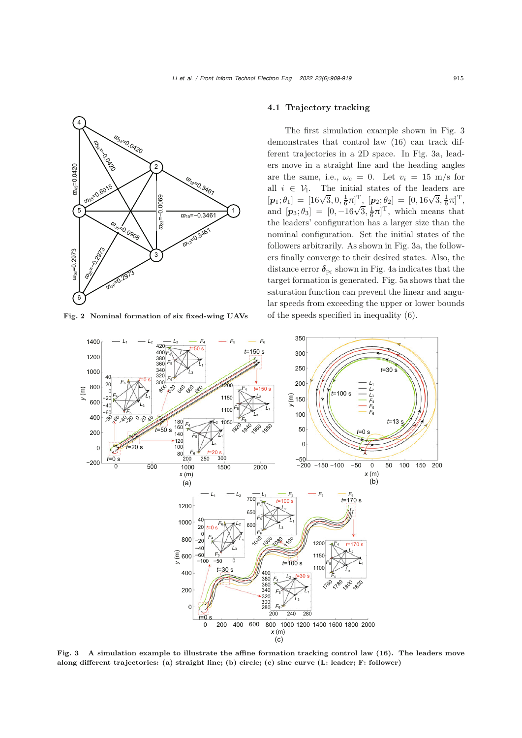

Fig. 2 Nominal formation of six fixed-wing UAVs

### 4.1 Trajectory tracking

The first simulation example shown in Fig. [3](#page-6-1) demonstrates that control law [\(16\)](#page-5-1) can track different trajectories in a 2D space. In Fig. [3a](#page-6-1), leaders move in a straight line and the heading angles are the same, i.e.,  $\omega_c = 0$ . Let  $v_i = 15$  m/s for all  $i \in \mathcal{V}_1$ . The initial states of the leaders are  $[\mathbf{p}_1; \theta_1] = [16\sqrt{3}, 0, \frac{1}{6}\pi]^T$ ,  $[\mathbf{p}_2; \theta_2] = [0, 16\sqrt{3}, \frac{1}{6}\pi]^T$ ,  $[\mathbf{p}_1, \mathbf{v}_1] = [\mathbf{p}_0, \mathbf{v}_3, \mathbf{0}, \frac{\mathbf{z}}{6} \mathbf{v}_1^T, \frac{\mathbf{p}_2}{6} \mathbf{y}_2^T] = [\mathbf{0}, \mathbf{p}_0, \mathbf{v}_3, \frac{\mathbf{z}}{6} \mathbf{v}_1^T,$ <br>and  $[\mathbf{p}_3, \theta_3] = [0, -16\sqrt{3}, \frac{1}{6}\pi]^T$ , which means that the leaders' configuration has a larger size than the nominal configuration. Set the initial states of the followers arbitrarily. As shown in Fig. [3a](#page-6-1), the followers finally converge to their desired states. Also, the distance error  $\delta_{\text{p}_{\text{f}}}$  shown in Fig. [4a](#page-7-0) indicates that the target formation is generated. Fig. [5a](#page-7-1) shows that the saturation function can prevent the linear and angular speeds from exceeding the upper or lower bounds of the speeds specified in inequality [\(6\)](#page-3-3).

<span id="page-6-0"></span>

<span id="page-6-1"></span>Fig. 3 A simulation example to illustrate the affine formation tracking control law (16). The leaders move along different trajectories: (a) straight line; (b) circle; (c) sine curve (L: leader; F: follower)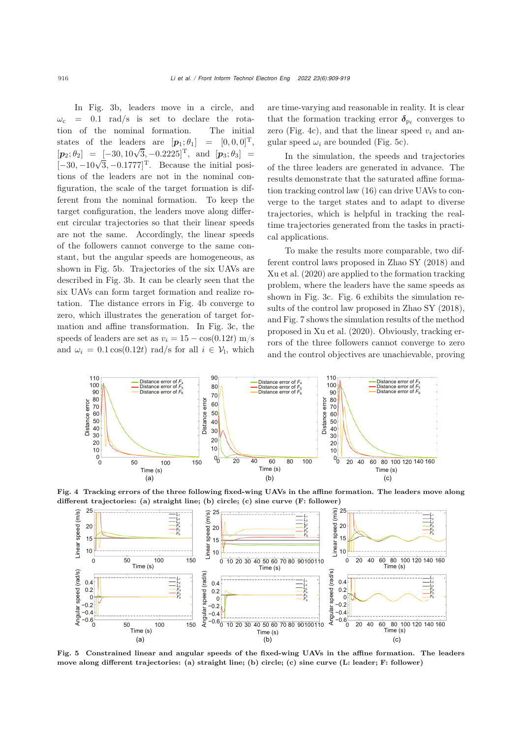In Fig. [3b](#page-6-1), leaders move in a circle, and  $\omega_c$  = 0.1 rad/s is set to declare the rotation of the nominal formation. The initial states of the leaders are  $[p_1; \theta_1] = [0, 0, 0]^T$ ,  $[p_2; \theta_2] = [-30, 10\sqrt{3}, -0.2225]^T$ , and  $[p_3; \theta_3] =$  $[p_2, v_2]$  =  $[-30, 10\sqrt{3}, -0.2225]$ , and  $[p_3, v_3]$  =<br> $[-30, -10\sqrt{3}, -0.1777]$ . Because the initial positions of the leaders are not in the nominal configuration, the scale of the target formation is different from the nominal formation. To keep the target configuration, the leaders move along different circular trajectories so that their linear speeds are not the same. Accordingly, the linear speeds of the followers cannot converge to the same constant, but the angular speeds are homogeneous, as shown in Fig. [5b](#page-7-1). Trajectories of the six UAVs are described in Fig. [3b](#page-6-1). It can be clearly seen that the six UAVs can form target formation and realize rotation. The distance errors in Fig. [4b](#page-7-0) converge to zero, which illustrates the generation of target formation and affine transformation. In Fig. [3c](#page-6-1), the speeds of leaders are set as  $v_i = 15 - \cos(0.12t)$  m/s and  $\omega_i = 0.1 \cos(0.12t)$  rad/s for all  $i \in \mathcal{V}_1$ , which

are time-varying and reasonable in reality. It is clear that the formation tracking error  $\delta_{\rm pf}$  converges to zero (Fig. [4c](#page-7-0)), and that the linear speed  $v_i$  and angular speed  $\omega_i$  are bounded (Fig. [5c](#page-7-1)).

In the simulation, the speeds and trajectories of the three leaders are generated in advance. The results demonstrate that the saturated affine formation tracking control law [\(16\)](#page-5-1) can drive UAVs to converge to the target states and to adapt to diverse trajectories, which is helpful in tracking the realtime trajectories generated from the tasks in practical applications.

To make the results more comparable, two different control laws proposed in [Zhao SY](#page-10-5) [\(2018](#page-10-5)) and [Xu et al.](#page-10-14) [\(2020\)](#page-10-14) are applied to the formation tracking problem, where the leaders have the same speeds as shown in Fig. [3c](#page-6-1). Fig. [6](#page-8-0) exhibits the simulation results of the control law proposed in [Zhao SY](#page-10-5) [\(2018\)](#page-10-5), and Fig. [7](#page-8-1) shows the simulation results of the method proposed in [Xu et al.](#page-10-14) [\(2020\)](#page-10-14). Obviously, tracking errors of the three followers cannot converge to zero and the control objectives are unachievable, proving



Fig. 4 Tracking errors of the three following fixed-wing UAVs in the affine formation. The leaders move along different trajectories: (a) straight line; (b) circle; (c) sine curve (F: follower)

<span id="page-7-0"></span>

<span id="page-7-1"></span>Fig. 5 Constrained linear and angular speeds of the fixed-wing UAVs in the affine formation. The leaders move along different trajectories: (a) straight line; (b) circle; (c) sine curve (L: leader; F: follower)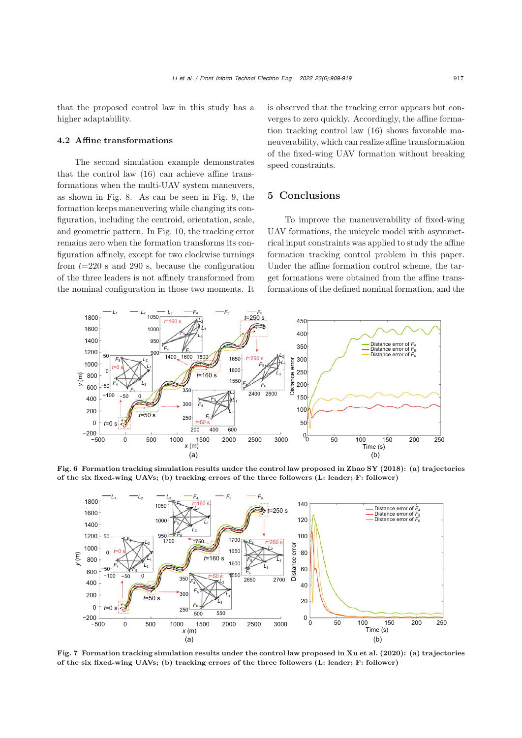that the proposed control law in this study has a higher adaptability.

## 4.2 Affine transformations

The second simulation example demonstrates that the control law [\(16\)](#page-5-1) can achieve affine transformations when the multi-UAV system maneuvers, as shown in Fig. [8.](#page-9-0) As can be seen in Fig. [9,](#page-9-1) the formation keeps maneuvering while changing its configuration, including the centroid, orientation, scale, and geometric pattern. In Fig. [10,](#page-9-2) the tracking error remains zero when the formation transforms its configuration affinely, except for two clockwise turnings from  $t=220$  s and 290 s, because the configuration of the three leaders is not affinely transformed from the nominal configuration in those two moments. It

is observed that the tracking error appears but converges to zero quickly. Accordingly, the affine formation tracking control law [\(16\)](#page-5-1) shows favorable maneuverability, which can realize affine transformation of the fixed-wing UAV formation without breaking speed constraints.

## 5 Conclusions

To improve the maneuverability of fixed-wing UAV formations, the unicycle model with asymmetrical input constraints was applied to study the affine formation tracking control problem in this paper. Under the affine formation control scheme, the target formations were obtained from the affine transformations of the defined nominal formation, and the



Fig. 6 Formation tracking simulation results under the control law proposed in [Zhao](#page-10-5) SY [\(2018\)](#page-10-5): (a) trajectories of the six fixed-wing UAVs; (b) tracking errors of the three followers (L: leader; F: follower)

<span id="page-8-0"></span>

<span id="page-8-1"></span>Fig. 7 Formation tracking simulation results under the control law proposed in [Xu et](#page-10-14) al. [\(2020\)](#page-10-14): (a) trajectories of the six fixed-wing UAVs; (b) tracking errors of the three followers (L: leader; F: follower)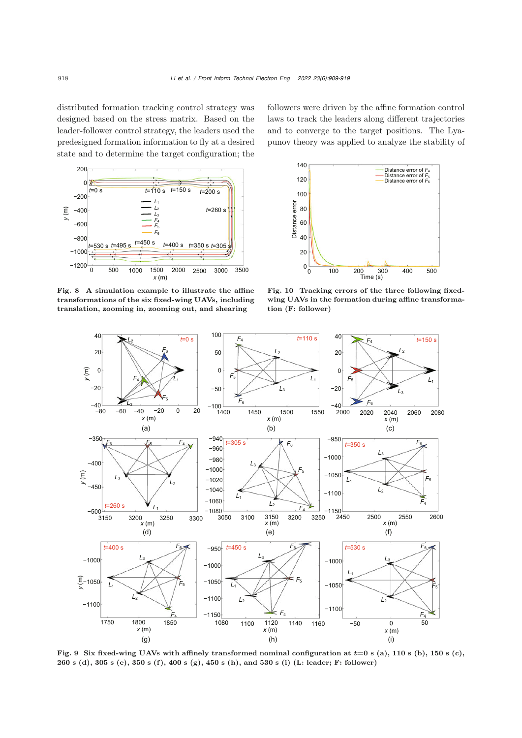distributed formation tracking control strategy was designed based on the stress matrix. Based on the leader-follower control strategy, the leaders used the predesigned formation information to fly at a desired state and to determine the target configuration; the



laws to track the leaders along different trajectories and to converge to the target positions. The Lyapunov theory was applied to analyze the stability of

followers were driven by the affine formation control



<span id="page-9-0"></span>Fig. 8 A simulation example to illustrate the affine transformations of the six fixed-wing UAVs, including translation, zooming in, zooming out, and shearing

<span id="page-9-2"></span>Fig. 10 Tracking errors of the three following fixedwing UAVs in the formation during affine transformation (F: follower)



<span id="page-9-1"></span>Fig. 9 Six fixed-wing UAVs with affinely transformed nominal configuration at *t*=0 s (a), 110 s (b), 150 s (c), 260 s (d), 305 s (e), 350 s (f), 400 s (g), 450 s (h), and 530 s (i) (L: leader; F: follower)